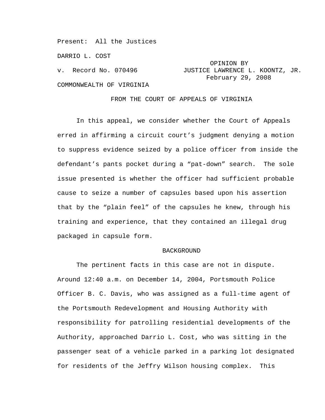Present: All the Justices

DARRIO L. COST

COMMONWEALTH OF VIRGINIA

# OPINION BY v. Record No. 070496 JUSTICE LAWRENCE L. KOONTZ, JR. February 29, 2008

### FROM THE COURT OF APPEALS OF VIRGINIA

In this appeal, we consider whether the Court of Appeals erred in affirming a circuit court's judgment denying a motion to suppress evidence seized by a police officer from inside the defendant's pants pocket during a "pat-down" search. The sole issue presented is whether the officer had sufficient probable cause to seize a number of capsules based upon his assertion that by the "plain feel" of the capsules he knew, through his training and experience, that they contained an illegal drug packaged in capsule form.

## BACKGROUND

The pertinent facts in this case are not in dispute. Around 12:40 a.m. on December 14, 2004, Portsmouth Police Officer B. C. Davis, who was assigned as a full-time agent of the Portsmouth Redevelopment and Housing Authority with responsibility for patrolling residential developments of the Authority, approached Darrio L. Cost, who was sitting in the passenger seat of a vehicle parked in a parking lot designated for residents of the Jeffry Wilson housing complex. This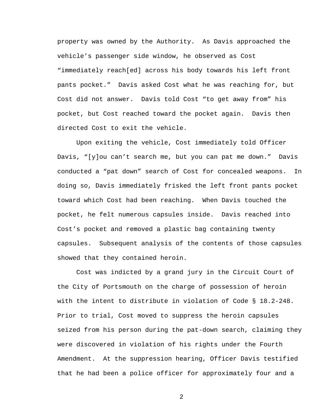property was owned by the Authority. As Davis approached the vehicle's passenger side window, he observed as Cost "immediately reach[ed] across his body towards his left front pants pocket." Davis asked Cost what he was reaching for, but Cost did not answer. Davis told Cost "to get away from" his pocket, but Cost reached toward the pocket again. Davis then directed Cost to exit the vehicle.

Upon exiting the vehicle, Cost immediately told Officer Davis, "[y]ou can't search me, but you can pat me down." Davis conducted a "pat down" search of Cost for concealed weapons. In doing so, Davis immediately frisked the left front pants pocket toward which Cost had been reaching. When Davis touched the pocket, he felt numerous capsules inside. Davis reached into Cost's pocket and removed a plastic bag containing twenty capsules. Subsequent analysis of the contents of those capsules showed that they contained heroin.

Cost was indicted by a grand jury in the Circuit Court of the City of Portsmouth on the charge of possession of heroin with the intent to distribute in violation of Code § 18.2-248. Prior to trial, Cost moved to suppress the heroin capsules seized from his person during the pat-down search, claiming they were discovered in violation of his rights under the Fourth Amendment. At the suppression hearing, Officer Davis testified that he had been a police officer for approximately four and a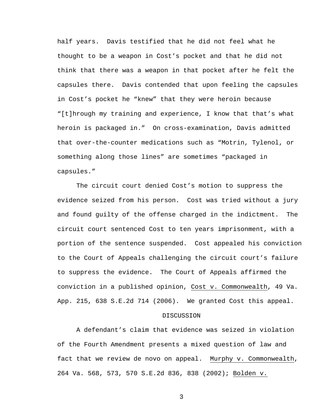half years. Davis testified that he did not feel what he thought to be a weapon in Cost's pocket and that he did not think that there was a weapon in that pocket after he felt the capsules there. Davis contended that upon feeling the capsules in Cost's pocket he "knew" that they were heroin because "[t]hrough my training and experience, I know that that's what heroin is packaged in." On cross-examination, Davis admitted that over-the-counter medications such as "Motrin, Tylenol, or something along those lines" are sometimes "packaged in capsules."

The circuit court denied Cost's motion to suppress the evidence seized from his person. Cost was tried without a jury and found guilty of the offense charged in the indictment. The circuit court sentenced Cost to ten years imprisonment, with a portion of the sentence suspended. Cost appealed his conviction to the Court of Appeals challenging the circuit court's failure to suppress the evidence. The Court of Appeals affirmed the conviction in a published opinion, Cost v. Commonwealth, 49 Va. App. 215, 638 S.E.2d 714 (2006). We granted Cost this appeal.

# **DISCUSSION**

A defendant's claim that evidence was seized in violation of the Fourth Amendment presents a mixed question of law and fact that we review de novo on appeal. Murphy v. Commonwealth, 264 Va. 568, 573, 570 S.E.2d 836, 838 (2002); Bolden v.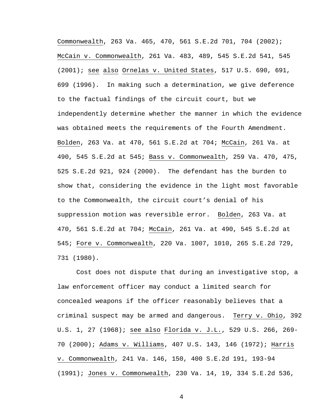Commonwealth, 263 Va. 465, 470, 561 S.E.2d 701, 704 (2002); McCain v. Commonwealth, 261 Va. 483, 489, 545 S.E.2d 541, 545 (2001); see also Ornelas v. United States, 517 U.S. 690, 691, 699 (1996). In making such a determination, we give deference to the factual findings of the circuit court, but we independently determine whether the manner in which the evidence was obtained meets the requirements of the Fourth Amendment. Bolden, 263 Va. at 470, 561 S.E.2d at 704; McCain, 261 Va. at 490, 545 S.E.2d at 545; Bass v. Commonwealth, 259 Va. 470, 475, 525 S.E.2d 921, 924 (2000). The defendant has the burden to show that, considering the evidence in the light most favorable to the Commonwealth, the circuit court's denial of his suppression motion was reversible error. Bolden, 263 Va. at 470, 561 S.E.2d at 704; McCain, 261 Va. at 490, 545 S.E.2d at 545; Fore v. Commonwealth, 220 Va. 1007, 1010, 265 S.E.2d 729, 731 (1980).

Cost does not dispute that during an investigative stop, a law enforcement officer may conduct a limited search for concealed weapons if the officer reasonably believes that a criminal suspect may be armed and dangerous. Terry v. Ohio, 392 U.S. 1, 27 (1968); see also Florida v. J.L., 529 U.S. 266, 269- 70 (2000); Adams v. Williams, 407 U.S. 143, 146 (1972); Harris v. Commonwealth, 241 Va. 146, 150, 400 S.E.2d 191, 193-94 (1991); Jones v. Commonwealth, 230 Va. 14, 19, 334 S.E.2d 536,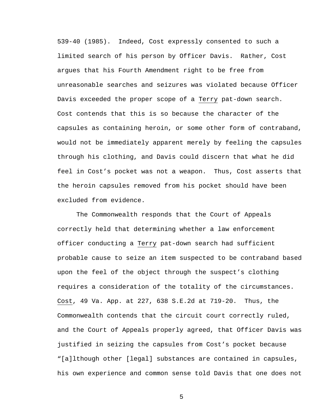539-40 (1985). Indeed, Cost expressly consented to such a limited search of his person by Officer Davis. Rather, Cost argues that his Fourth Amendment right to be free from unreasonable searches and seizures was violated because Officer Davis exceeded the proper scope of a Terry pat-down search. Cost contends that this is so because the character of the capsules as containing heroin, or some other form of contraband, would not be immediately apparent merely by feeling the capsules through his clothing, and Davis could discern that what he did feel in Cost's pocket was not a weapon. Thus, Cost asserts that the heroin capsules removed from his pocket should have been excluded from evidence.

The Commonwealth responds that the Court of Appeals correctly held that determining whether a law enforcement officer conducting a Terry pat-down search had sufficient probable cause to seize an item suspected to be contraband based upon the feel of the object through the suspect's clothing requires a consideration of the totality of the circumstances. Cost, 49 Va. App. at 227, 638 S.E.2d at 719-20. Thus, the Commonwealth contends that the circuit court correctly ruled, and the Court of Appeals properly agreed, that Officer Davis was justified in seizing the capsules from Cost's pocket because "[a]lthough other [legal] substances are contained in capsules, his own experience and common sense told Davis that one does not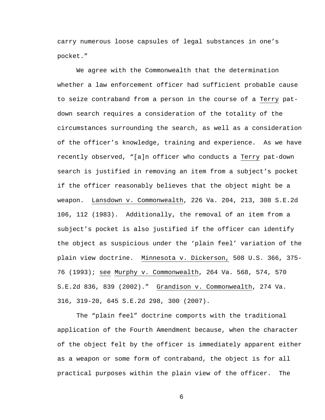carry numerous loose capsules of legal substances in one's pocket."

We agree with the Commonwealth that the determination whether a law enforcement officer had sufficient probable cause to seize contraband from a person in the course of a Terry patdown search requires a consideration of the totality of the circumstances surrounding the search, as well as a consideration of the officer's knowledge, training and experience. As we have recently observed, "[a]n officer who conducts a Terry pat-down search is justified in removing an item from a subject's pocket if the officer reasonably believes that the object might be a weapon. Lansdown v. Commonwealth, 226 Va. 204, 213, 308 S.E.2d 106, 112 (1983). Additionally, the removal of an item from a subject's pocket is also justified if the officer can identify the object as suspicious under the 'plain feel' variation of the plain view doctrine. Minnesota v. Dickerson, 508 U.S. 366, 375- 76 (1993); see Murphy v. Commonwealth, 264 Va. 568, 574, 570 S.E.2d 836, 839 (2002)." Grandison v. Commonwealth, 274 Va. 316, 319-20, 645 S.E.2d 298, 300 (2007).

The "plain feel" doctrine comports with the traditional application of the Fourth Amendment because, when the character of the object felt by the officer is immediately apparent either as a weapon or some form of contraband, the object is for all practical purposes within the plain view of the officer. The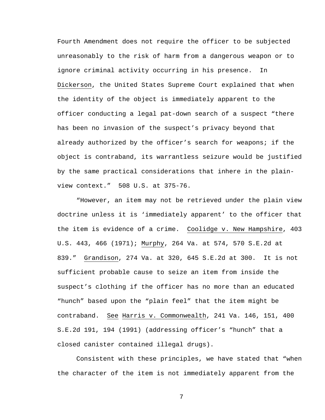Fourth Amendment does not require the officer to be subjected unreasonably to the risk of harm from a dangerous weapon or to ignore criminal activity occurring in his presence. In Dickerson, the United States Supreme Court explained that when the identity of the object is immediately apparent to the officer conducting a legal pat-down search of a suspect "there has been no invasion of the suspect's privacy beyond that already authorized by the officer's search for weapons; if the object is contraband, its warrantless seizure would be justified by the same practical considerations that inhere in the plainview context." 508 U.S. at 375-76.

"However, an item may not be retrieved under the plain view doctrine unless it is 'immediately apparent' to the officer that the item is evidence of a crime. Coolidge v. New Hampshire, 403 U.S. 443, 466 (1971); Murphy, 264 Va. at 574, 570 S.E.2d at 839." Grandison, 274 Va. at 320, 645 S.E.2d at 300. It is not sufficient probable cause to seize an item from inside the suspect's clothing if the officer has no more than an educated "hunch" based upon the "plain feel" that the item might be contraband. See Harris v. Commonwealth, 241 Va. 146, 151, 400 S.E.2d 191, 194 (1991) (addressing officer's "hunch" that a closed canister contained illegal drugs).

Consistent with these principles, we have stated that "when the character of the item is not immediately apparent from the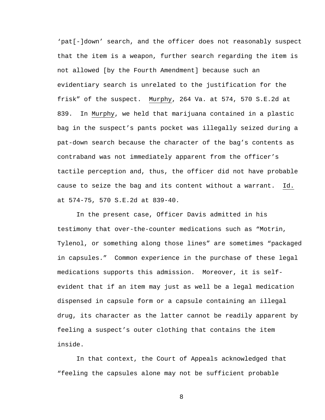'pat[-]down' search, and the officer does not reasonably suspect that the item is a weapon, further search regarding the item is not allowed [by the Fourth Amendment] because such an evidentiary search is unrelated to the justification for the frisk" of the suspect. Murphy, 264 Va. at 574, 570 S.E.2d at 839. In Murphy, we held that marijuana contained in a plastic bag in the suspect's pants pocket was illegally seized during a pat-down search because the character of the bag's contents as contraband was not immediately apparent from the officer's tactile perception and, thus, the officer did not have probable cause to seize the bag and its content without a warrant. Id. at 574-75, 570 S.E.2d at 839-40.

In the present case, Officer Davis admitted in his testimony that over-the-counter medications such as "Motrin, Tylenol, or something along those lines" are sometimes "packaged in capsules." Common experience in the purchase of these legal medications supports this admission. Moreover, it is selfevident that if an item may just as well be a legal medication dispensed in capsule form or a capsule containing an illegal drug, its character as the latter cannot be readily apparent by feeling a suspect's outer clothing that contains the item inside.

In that context, the Court of Appeals acknowledged that "feeling the capsules alone may not be sufficient probable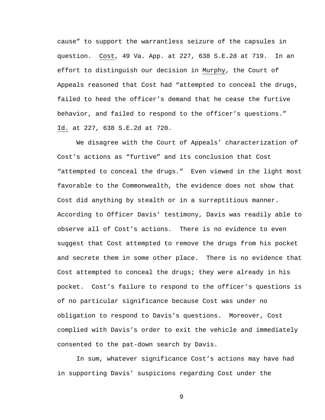cause" to support the warrantless seizure of the capsules in question. Cost, 49 Va. App. at 227, 638 S.E.2d at 719. In an effort to distinguish our decision in Murphy, the Court of Appeals reasoned that Cost had "attempted to conceal the drugs, failed to heed the officer's demand that he cease the furtive behavior, and failed to respond to the officer's questions." Id. at 227, 638 S.E.2d at 720.

We disagree with the Court of Appeals' characterization of Cost's actions as "furtive" and its conclusion that Cost "attempted to conceal the drugs." Even viewed in the light most favorable to the Commonwealth, the evidence does not show that Cost did anything by stealth or in a surreptitious manner. According to Officer Davis' testimony, Davis was readily able to observe all of Cost's actions. There is no evidence to even suggest that Cost attempted to remove the drugs from his pocket and secrete them in some other place. There is no evidence that Cost attempted to conceal the drugs; they were already in his pocket. Cost's failure to respond to the officer's questions is of no particular significance because Cost was under no obligation to respond to Davis's questions. Moreover, Cost complied with Davis's order to exit the vehicle and immediately consented to the pat-down search by Davis.

In sum, whatever significance Cost's actions may have had in supporting Davis' suspicions regarding Cost under the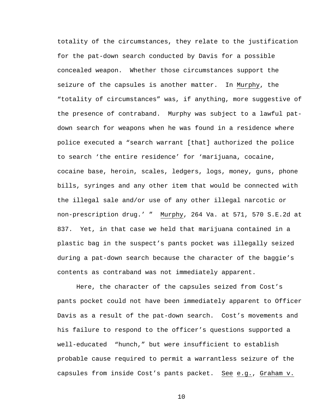totality of the circumstances, they relate to the justification for the pat-down search conducted by Davis for a possible concealed weapon. Whether those circumstances support the seizure of the capsules is another matter. In Murphy, the "totality of circumstances" was, if anything, more suggestive of the presence of contraband. Murphy was subject to a lawful patdown search for weapons when he was found in a residence where police executed a "search warrant [that] authorized the police to search 'the entire residence' for 'marijuana, cocaine, cocaine base, heroin, scales, ledgers, logs, money, guns, phone bills, syringes and any other item that would be connected with the illegal sale and/or use of any other illegal narcotic or non-prescription drug.' " Murphy, 264 Va. at 571, 570 S.E.2d at 837. Yet, in that case we held that marijuana contained in a plastic bag in the suspect's pants pocket was illegally seized during a pat-down search because the character of the baggie's contents as contraband was not immediately apparent.

Here, the character of the capsules seized from Cost's pants pocket could not have been immediately apparent to Officer Davis as a result of the pat-down search. Cost's movements and his failure to respond to the officer's questions supported a well-educated "hunch," but were insufficient to establish probable cause required to permit a warrantless seizure of the capsules from inside Cost's pants packet. See e.g., Graham v.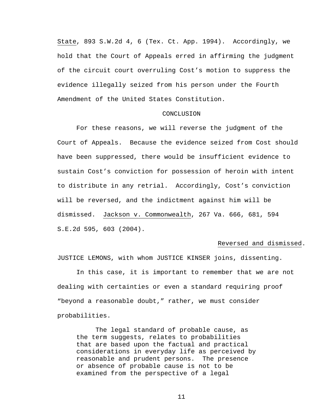State, 893 S.W.2d 4, 6 (Tex. Ct. App. 1994). Accordingly, we hold that the Court of Appeals erred in affirming the judgment of the circuit court overruling Cost's motion to suppress the evidence illegally seized from his person under the Fourth Amendment of the United States Constitution.

### CONCLUSION

For these reasons, we will reverse the judgment of the Court of Appeals. Because the evidence seized from Cost should have been suppressed, there would be insufficient evidence to sustain Cost's conviction for possession of heroin with intent to distribute in any retrial. Accordingly, Cost's conviction will be reversed, and the indictment against him will be dismissed. Jackson v. Commonwealth, 267 Va. 666, 681, 594 S.E.2d 595, 603 (2004).

### Reversed and dismissed.

JUSTICE LEMONS, with whom JUSTICE KINSER joins, dissenting.

 In this case, it is important to remember that we are not dealing with certainties or even a standard requiring proof "beyond a reasonable doubt," rather, we must consider probabilities.

The legal standard of probable cause, as the term suggests, relates to probabilities that are based upon the factual and practical considerations in everyday life as perceived by reasonable and prudent persons. The presence or absence of probable cause is not to be examined from the perspective of a legal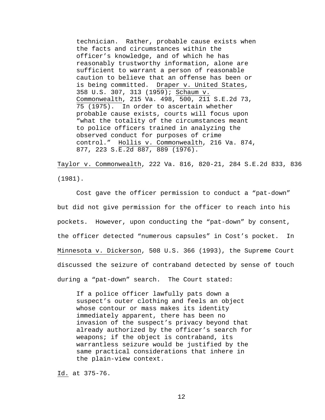technician. Rather, probable cause exists when the facts and circumstances within the officer's knowledge, and of which he has reasonably trustworthy information, alone are sufficient to warrant a person of reasonable caution to believe that an offense has been or is being committed. Draper v. United States, 358 U.S. 307, 313 (1959); Schaum v. Commonwealth, 215 Va. 498, 500, 211 S.E.2d 73, 75 (1975). In order to ascertain whether probable cause exists, courts will focus upon "what the totality of the circumstances meant to police officers trained in analyzing the observed conduct for purposes of crime control." Hollis v. Commonwealth, 216 Va. 874, 877, 223 S.E.2d 887, 889 (1976).

Taylor v. Commonwealth, 222 Va. 816, 820-21, 284 S.E.2d 833, 836 (1981).

Cost gave the officer permission to conduct a "pat-down" but did not give permission for the officer to reach into his pockets. However, upon conducting the "pat-down" by consent, the officer detected "numerous capsules" in Cost's pocket. In Minnesota v. Dickerson, 508 U.S. 366 (1993), the Supreme Court discussed the seizure of contraband detected by sense of touch during a "pat-down" search. The Court stated:

If a police officer lawfully pats down a suspect's outer clothing and feels an object whose contour or mass makes its identity immediately apparent, there has been no invasion of the suspect's privacy beyond that already authorized by the officer's search for weapons; if the object is contraband, its warrantless seizure would be justified by the same practical considerations that inhere in the plain-view context.

Id. at 375-76.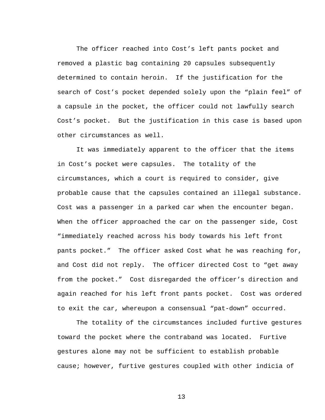The officer reached into Cost's left pants pocket and removed a plastic bag containing 20 capsules subsequently determined to contain heroin. If the justification for the search of Cost's pocket depended solely upon the "plain feel" of a capsule in the pocket, the officer could not lawfully search Cost's pocket. But the justification in this case is based upon other circumstances as well.

 It was immediately apparent to the officer that the items in Cost's pocket were capsules. The totality of the circumstances, which a court is required to consider, give probable cause that the capsules contained an illegal substance. Cost was a passenger in a parked car when the encounter began. When the officer approached the car on the passenger side, Cost "immediately reached across his body towards his left front pants pocket." The officer asked Cost what he was reaching for, and Cost did not reply. The officer directed Cost to "get away from the pocket." Cost disregarded the officer's direction and again reached for his left front pants pocket. Cost was ordered to exit the car, whereupon a consensual "pat-down" occurred.

 The totality of the circumstances included furtive gestures toward the pocket where the contraband was located. Furtive gestures alone may not be sufficient to establish probable cause; however, furtive gestures coupled with other indicia of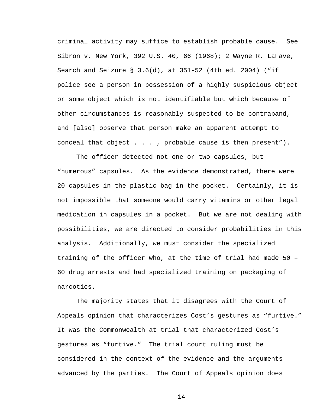criminal activity may suffice to establish probable cause. See Sibron v. New York, 392 U.S. 40, 66 (1968); 2 Wayne R. LaFave, Search and Seizure § 3.6(d), at 351-52 (4th ed. 2004) ("if police see a person in possession of a highly suspicious object or some object which is not identifiable but which because of other circumstances is reasonably suspected to be contraband, and [also] observe that person make an apparent attempt to conceal that object . . . , probable cause is then present").

 The officer detected not one or two capsules, but "numerous" capsules. As the evidence demonstrated, there were 20 capsules in the plastic bag in the pocket. Certainly, it is not impossible that someone would carry vitamins or other legal medication in capsules in a pocket. But we are not dealing with possibilities, we are directed to consider probabilities in this analysis. Additionally, we must consider the specialized training of the officer who, at the time of trial had made 50 – 60 drug arrests and had specialized training on packaging of narcotics.

 The majority states that it disagrees with the Court of Appeals opinion that characterizes Cost's gestures as "furtive." It was the Commonwealth at trial that characterized Cost's gestures as "furtive." The trial court ruling must be considered in the context of the evidence and the arguments advanced by the parties. The Court of Appeals opinion does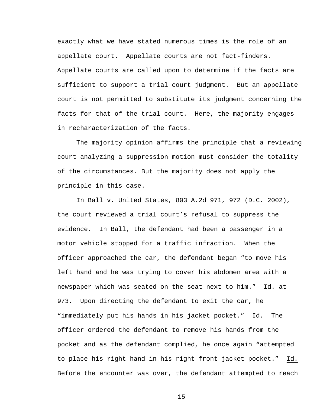exactly what we have stated numerous times is the role of an appellate court. Appellate courts are not fact-finders. Appellate courts are called upon to determine if the facts are sufficient to support a trial court judgment. But an appellate court is not permitted to substitute its judgment concerning the facts for that of the trial court. Here, the majority engages in recharacterization of the facts.

The majority opinion affirms the principle that a reviewing court analyzing a suppression motion must consider the totality of the circumstances. But the majority does not apply the principle in this case.

In Ball v. United States, 803 A.2d 971, 972 (D.C. 2002), the court reviewed a trial court's refusal to suppress the evidence. In Ball, the defendant had been a passenger in a motor vehicle stopped for a traffic infraction. When the officer approached the car, the defendant began "to move his left hand and he was trying to cover his abdomen area with a newspaper which was seated on the seat next to him." Id. at 973. Upon directing the defendant to exit the car, he "immediately put his hands in his jacket pocket." Id. The officer ordered the defendant to remove his hands from the pocket and as the defendant complied, he once again "attempted to place his right hand in his right front jacket pocket." Id. Before the encounter was over, the defendant attempted to reach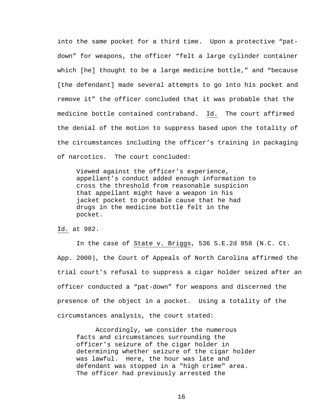into the same pocket for a third time. Upon a protective "patdown" for weapons, the officer "felt a large cylinder container which [he] thought to be a large medicine bottle," and "because [the defendant] made several attempts to go into his pocket and remove it" the officer concluded that it was probable that the medicine bottle contained contraband. Id. The court affirmed the denial of the motion to suppress based upon the totality of the circumstances including the officer's training in packaging of narcotics. The court concluded:

Viewed against the officer's experience, appellant's conduct added enough information to cross the threshold from reasonable suspicion that appellant might have a weapon in his jacket pocket to probable cause that he had drugs in the medicine bottle felt in the pocket.

Id. at 982.

In the case of State v. Briggs, 536 S.E.2d 858 (N.C. Ct. App. 2000), the Court of Appeals of North Carolina affirmed the trial court's refusal to suppress a cigar holder seized after an officer conducted a "pat-down" for weapons and discerned the presence of the object in a pocket. Using a totality of the circumstances analysis, the court stated:

Accordingly, we consider the numerous facts and circumstances surrounding the officer's seizure of the cigar holder in determining whether seizure of the cigar holder was lawful. Here, the hour was late and defendant was stopped in a "high crime" area. The officer had previously arrested the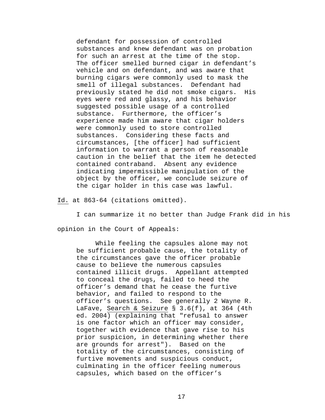defendant for possession of controlled substances and knew defendant was on probation for such an arrest at the time of the stop. The officer smelled burned cigar in defendant's vehicle and on defendant, and was aware that burning cigars were commonly used to mask the smell of illegal substances. Defendant had previously stated he did not smoke cigars. His eyes were red and glassy, and his behavior suggested possible usage of a controlled substance. Furthermore, the officer's experience made him aware that cigar holders were commonly used to store controlled substances. Considering these facts and circumstances, [the officer] had sufficient information to warrant a person of reasonable caution in the belief that the item he detected contained contraband. Absent any evidence indicating impermissible manipulation of the object by the officer, we conclude seizure of the cigar holder in this case was lawful.

Id. at 863-64 (citations omitted).

I can summarize it no better than Judge Frank did in his

opinion in the Court of Appeals:

While feeling the capsules alone may not be sufficient probable cause, the totality of the circumstances gave the officer probable cause to believe the numerous capsules contained illicit drugs. Appellant attempted to conceal the drugs, failed to heed the officer's demand that he cease the furtive behavior, and failed to respond to the officer's questions. See generally 2 Wayne R. LaFave, Search & Seizure § 3.6(f), at 364 (4th ed. 2004) (explaining that "refusal to answer is one factor which an officer may consider, together with evidence that gave rise to his prior suspicion, in determining whether there are grounds for arrest"). Based on the totality of the circumstances, consisting of furtive movements and suspicious conduct, culminating in the officer feeling numerous capsules, which based on the officer's